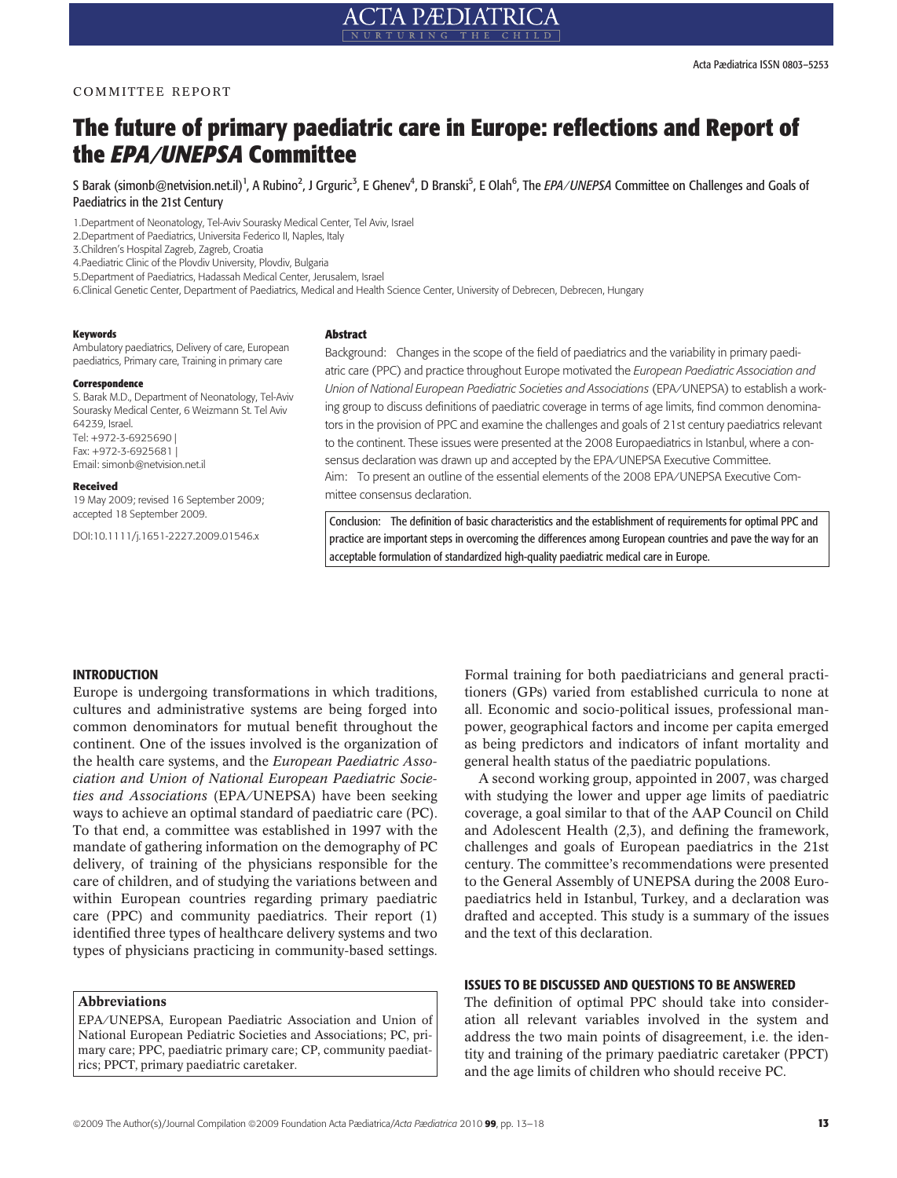# COMMITTEE REPORT

# The future of primary paediatric care in Europe: reflections and Report of the EPA ⁄UNEPSA Committee

S Barak (simonb@netvision.net.il)<sup>1</sup>, A Rubino<sup>2</sup>, J Grguric<sup>3</sup>, E Ghenev<sup>4</sup>, D Branski<sup>5</sup>, E Olah<sup>6</sup>, The *EPA/UNEPSA* Committee on Challenges and Goals of Paediatrics in the 21st Century

1.Department of Neonatology, Tel-Aviv Sourasky Medical Center, Tel Aviv, Israel

2.Department of Paediatrics, Universita Federico II, Naples, Italy

3.Children's Hospital Zagreb, Zagreb, Croatia

4.Paediatric Clinic of the Plovdiv University, Plovdiv, Bulgaria

5.Department of Paediatrics, Hadassah Medical Center, Jerusalem, Israel

6.Clinical Genetic Center, Department of Paediatrics, Medical and Health Science Center, University of Debrecen, Debrecen, Hungary

#### Keywords

Ambulatory paediatrics, Delivery of care, European paediatrics, Primary care, Training in primary care

#### Correspondence

S. Barak M.D., Department of Neonatology, Tel-Aviv Sourasky Medical Center, 6 Weizmann St. Tel Aviv 64239, Israel. Tel: +972-3-6925690 | Fax: +972-3-6925681 | Email: simonb@netvision.net.il

#### Received

19 May 2009; revised 16 September 2009; accepted 18 September 2009.

DOI:10.1111/j.1651-2227.2009.01546.x

#### Abstract

Background: Changes in the scope of the field of paediatrics and the variability in primary paediatric care (PPC) and practice throughout Europe motivated the European Paediatric Association and Union of National European Paediatric Societies and Associations (EPA/UNEPSA) to establish a working group to discuss definitions of paediatric coverage in terms of age limits, find common denominators in the provision of PPC and examine the challenges and goals of 21st century paediatrics relevant to the continent. These issues were presented at the 2008 Europaediatrics in Istanbul, where a consensus declaration was drawn up and accepted by the EPA/UNEPSA Executive Committee. Aim: To present an outline of the essential elements of the 2008 EPA/UNEPSA Executive Committee consensus declaration.

Conclusion: The definition of basic characteristics and the establishment of requirements for optimal PPC and practice are important steps in overcoming the differences among European countries and pave the way for an acceptable formulation of standardized high-quality paediatric medical care in Europe.

#### INTRODUCTION

Europe is undergoing transformations in which traditions, cultures and administrative systems are being forged into common denominators for mutual benefit throughout the continent. One of the issues involved is the organization of the health care systems, and the European Paediatric Association and Union of National European Paediatric Societies and Associations (EPA/UNEPSA) have been seeking ways to achieve an optimal standard of paediatric care (PC). To that end, a committee was established in 1997 with the mandate of gathering information on the demography of PC delivery, of training of the physicians responsible for the care of children, and of studying the variations between and within European countries regarding primary paediatric care (PPC) and community paediatrics. Their report (1) identified three types of healthcare delivery systems and two types of physicians practicing in community-based settings.

#### Abbreviations

EPA/UNEPSA, European Paediatric Association and Union of National European Pediatric Societies and Associations; PC, primary care; PPC, paediatric primary care; CP, community paediatrics; PPCT, primary paediatric caretaker.

Formal training for both paediatricians and general practitioners (GPs) varied from established curricula to none at all. Economic and socio-political issues, professional manpower, geographical factors and income per capita emerged as being predictors and indicators of infant mortality and general health status of the paediatric populations.

A second working group, appointed in 2007, was charged with studying the lower and upper age limits of paediatric coverage, a goal similar to that of the AAP Council on Child and Adolescent Health (2,3), and defining the framework, challenges and goals of European paediatrics in the 21st century. The committee's recommendations were presented to the General Assembly of UNEPSA during the 2008 Europaediatrics held in Istanbul, Turkey, and a declaration was drafted and accepted. This study is a summary of the issues and the text of this declaration.

#### ISSUES TO BE DISCUSSED AND QUESTIONS TO BE ANSWERED

The definition of optimal PPC should take into consideration all relevant variables involved in the system and address the two main points of disagreement, i.e. the identity and training of the primary paediatric caretaker (PPCT) and the age limits of children who should receive PC.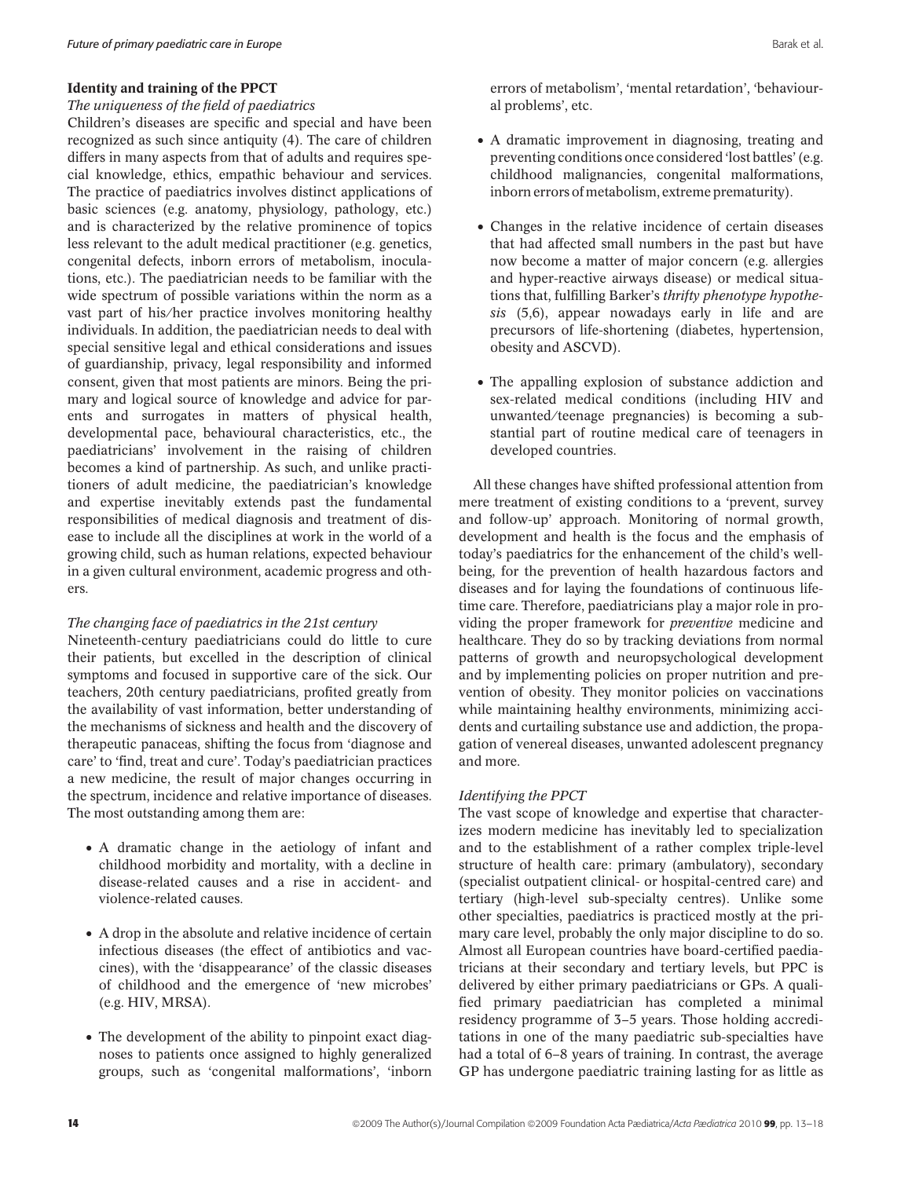# Identity and training of the PPCT

### The uniqueness of the field of paediatrics

Children's diseases are specific and special and have been recognized as such since antiquity (4). The care of children differs in many aspects from that of adults and requires special knowledge, ethics, empathic behaviour and services. The practice of paediatrics involves distinct applications of basic sciences (e.g. anatomy, physiology, pathology, etc.) and is characterized by the relative prominence of topics less relevant to the adult medical practitioner (e.g. genetics, congenital defects, inborn errors of metabolism, inoculations, etc.). The paediatrician needs to be familiar with the wide spectrum of possible variations within the norm as a vast part of his/her practice involves monitoring healthy individuals. In addition, the paediatrician needs to deal with special sensitive legal and ethical considerations and issues of guardianship, privacy, legal responsibility and informed consent, given that most patients are minors. Being the primary and logical source of knowledge and advice for parents and surrogates in matters of physical health, developmental pace, behavioural characteristics, etc., the paediatricians' involvement in the raising of children becomes a kind of partnership. As such, and unlike practitioners of adult medicine, the paediatrician's knowledge and expertise inevitably extends past the fundamental responsibilities of medical diagnosis and treatment of disease to include all the disciplines at work in the world of a growing child, such as human relations, expected behaviour in a given cultural environment, academic progress and others.

# The changing face of paediatrics in the 21st century

Nineteenth-century paediatricians could do little to cure their patients, but excelled in the description of clinical symptoms and focused in supportive care of the sick. Our teachers, 20th century paediatricians, profited greatly from the availability of vast information, better understanding of the mechanisms of sickness and health and the discovery of therapeutic panaceas, shifting the focus from 'diagnose and care' to 'find, treat and cure'. Today's paediatrician practices a new medicine, the result of major changes occurring in the spectrum, incidence and relative importance of diseases. The most outstanding among them are:

- A dramatic change in the aetiology of infant and childhood morbidity and mortality, with a decline in disease-related causes and a rise in accident- and violence-related causes.
- A drop in the absolute and relative incidence of certain infectious diseases (the effect of antibiotics and vaccines), with the 'disappearance' of the classic diseases of childhood and the emergence of 'new microbes' (e.g. HIV, MRSA).
- The development of the ability to pinpoint exact diagnoses to patients once assigned to highly generalized groups, such as 'congenital malformations', 'inborn

errors of metabolism', 'mental retardation', 'behavioural problems', etc.

- A dramatic improvement in diagnosing, treating and preventing conditions once considered 'lost battles' (e.g. childhood malignancies, congenital malformations, inborn errors of metabolism, extreme prematurity).
- Changes in the relative incidence of certain diseases that had affected small numbers in the past but have now become a matter of major concern (e.g. allergies and hyper-reactive airways disease) or medical situations that, fulfilling Barker's thrifty phenotype hypothesis (5,6), appear nowadays early in life and are precursors of life-shortening (diabetes, hypertension, obesity and ASCVD).
- The appalling explosion of substance addiction and sex-related medical conditions (including HIV and unwanted ⁄teenage pregnancies) is becoming a substantial part of routine medical care of teenagers in developed countries.

All these changes have shifted professional attention from mere treatment of existing conditions to a 'prevent, survey and follow-up' approach. Monitoring of normal growth, development and health is the focus and the emphasis of today's paediatrics for the enhancement of the child's wellbeing, for the prevention of health hazardous factors and diseases and for laying the foundations of continuous lifetime care. Therefore, paediatricians play a major role in providing the proper framework for preventive medicine and healthcare. They do so by tracking deviations from normal patterns of growth and neuropsychological development and by implementing policies on proper nutrition and prevention of obesity. They monitor policies on vaccinations while maintaining healthy environments, minimizing accidents and curtailing substance use and addiction, the propagation of venereal diseases, unwanted adolescent pregnancy and more.

# Identifying the PPCT

The vast scope of knowledge and expertise that characterizes modern medicine has inevitably led to specialization and to the establishment of a rather complex triple-level structure of health care: primary (ambulatory), secondary (specialist outpatient clinical- or hospital-centred care) and tertiary (high-level sub-specialty centres). Unlike some other specialties, paediatrics is practiced mostly at the primary care level, probably the only major discipline to do so. Almost all European countries have board-certified paediatricians at their secondary and tertiary levels, but PPC is delivered by either primary paediatricians or GPs. A qualified primary paediatrician has completed a minimal residency programme of 3–5 years. Those holding accreditations in one of the many paediatric sub-specialties have had a total of 6–8 years of training. In contrast, the average GP has undergone paediatric training lasting for as little as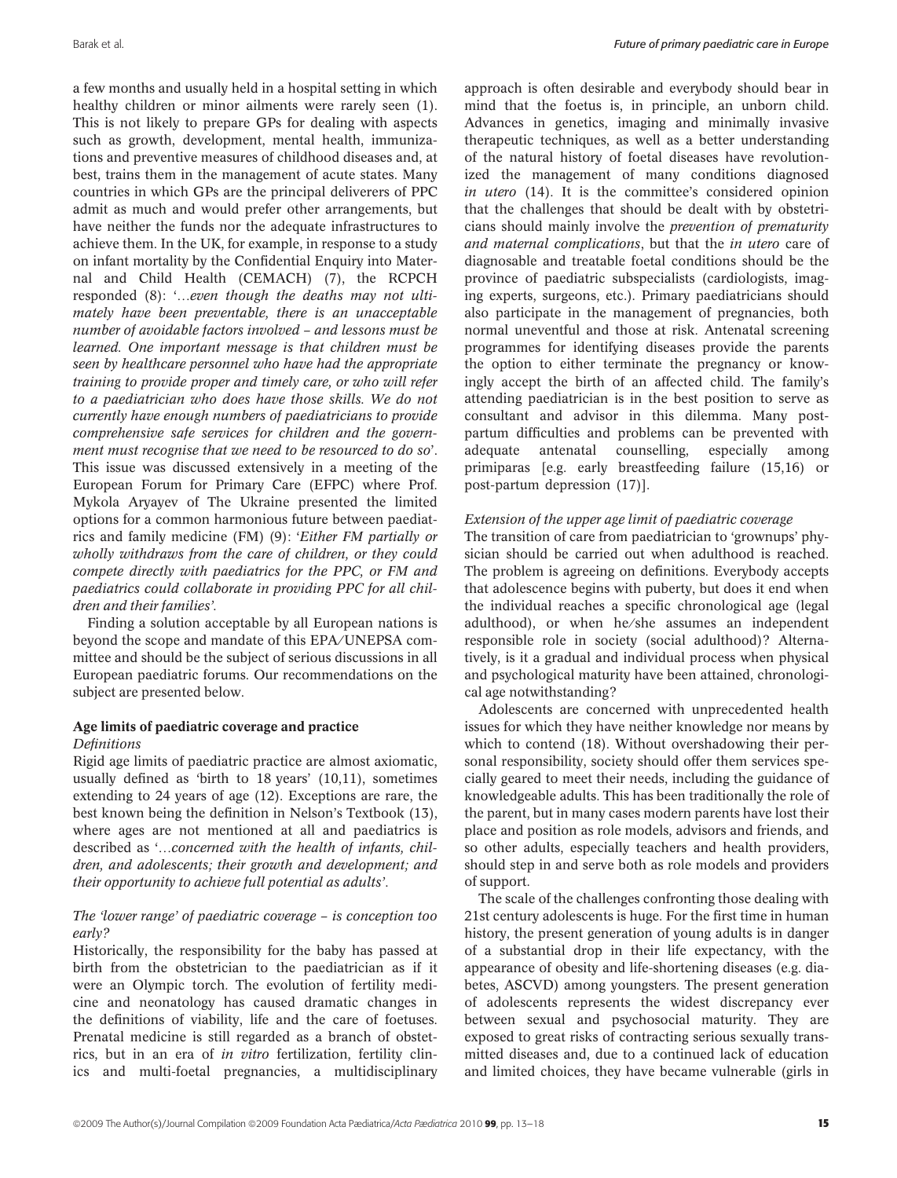a few months and usually held in a hospital setting in which healthy children or minor ailments were rarely seen (1). This is not likely to prepare GPs for dealing with aspects such as growth, development, mental health, immunizations and preventive measures of childhood diseases and, at best, trains them in the management of acute states. Many countries in which GPs are the principal deliverers of PPC admit as much and would prefer other arrangements, but have neither the funds nor the adequate infrastructures to achieve them. In the UK, for example, in response to a study on infant mortality by the Confidential Enquiry into Maternal and Child Health (CEMACH) (7), the RCPCH responded (8): '…even though the deaths may not ultimately have been preventable, there is an unacceptable number of avoidable factors involved – and lessons must be learned. One important message is that children must be seen by healthcare personnel who have had the appropriate training to provide proper and timely care, or who will refer to a paediatrician who does have those skills. We do not currently have enough numbers of paediatricians to provide comprehensive safe services for children and the government must recognise that we need to be resourced to do so'. This issue was discussed extensively in a meeting of the European Forum for Primary Care (EFPC) where Prof. Mykola Aryayev of The Ukraine presented the limited options for a common harmonious future between paediatrics and family medicine (FM) (9): 'Either FM partially or wholly withdraws from the care of children, or they could compete directly with paediatrics for the PPC, or FM and paediatrics could collaborate in providing PPC for all children and their families'.

Finding a solution acceptable by all European nations is beyond the scope and mandate of this EPA/UNEPSA committee and should be the subject of serious discussions in all European paediatric forums. Our recommendations on the subject are presented below.

#### Age limits of paediatric coverage and practice **Definitions**

Rigid age limits of paediatric practice are almost axiomatic, usually defined as 'birth to 18 years' (10,11), sometimes extending to 24 years of age (12). Exceptions are rare, the best known being the definition in Nelson's Textbook (13), where ages are not mentioned at all and paediatrics is described as '…concerned with the health of infants, children, and adolescents; their growth and development; and their opportunity to achieve full potential as adults'.

# The 'lower range' of paediatric coverage – is conception too early?

Historically, the responsibility for the baby has passed at birth from the obstetrician to the paediatrician as if it were an Olympic torch. The evolution of fertility medicine and neonatology has caused dramatic changes in the definitions of viability, life and the care of foetuses. Prenatal medicine is still regarded as a branch of obstetrics, but in an era of in vitro fertilization, fertility clinics and multi-foetal pregnancies, a multidisciplinary

approach is often desirable and everybody should bear in mind that the foetus is, in principle, an unborn child. Advances in genetics, imaging and minimally invasive therapeutic techniques, as well as a better understanding of the natural history of foetal diseases have revolutionized the management of many conditions diagnosed in utero (14). It is the committee's considered opinion that the challenges that should be dealt with by obstetricians should mainly involve the prevention of prematurity and maternal complications, but that the in utero care of diagnosable and treatable foetal conditions should be the province of paediatric subspecialists (cardiologists, imaging experts, surgeons, etc.). Primary paediatricians should also participate in the management of pregnancies, both normal uneventful and those at risk. Antenatal screening programmes for identifying diseases provide the parents the option to either terminate the pregnancy or knowingly accept the birth of an affected child. The family's attending paediatrician is in the best position to serve as consultant and advisor in this dilemma. Many postpartum difficulties and problems can be prevented with adequate antenatal counselling, especially among primiparas [e.g. early breastfeeding failure (15,16) or post-partum depression (17)].

# Extension of the upper age limit of paediatric coverage

The transition of care from paediatrician to 'grownups' physician should be carried out when adulthood is reached. The problem is agreeing on definitions. Everybody accepts that adolescence begins with puberty, but does it end when the individual reaches a specific chronological age (legal adulthood), or when he/she assumes an independent responsible role in society (social adulthood)? Alternatively, is it a gradual and individual process when physical and psychological maturity have been attained, chronological age notwithstanding?

Adolescents are concerned with unprecedented health issues for which they have neither knowledge nor means by which to contend (18). Without overshadowing their personal responsibility, society should offer them services specially geared to meet their needs, including the guidance of knowledgeable adults. This has been traditionally the role of the parent, but in many cases modern parents have lost their place and position as role models, advisors and friends, and so other adults, especially teachers and health providers, should step in and serve both as role models and providers of support.

The scale of the challenges confronting those dealing with 21st century adolescents is huge. For the first time in human history, the present generation of young adults is in danger of a substantial drop in their life expectancy, with the appearance of obesity and life-shortening diseases (e.g. diabetes, ASCVD) among youngsters. The present generation of adolescents represents the widest discrepancy ever between sexual and psychosocial maturity. They are exposed to great risks of contracting serious sexually transmitted diseases and, due to a continued lack of education and limited choices, they have became vulnerable (girls in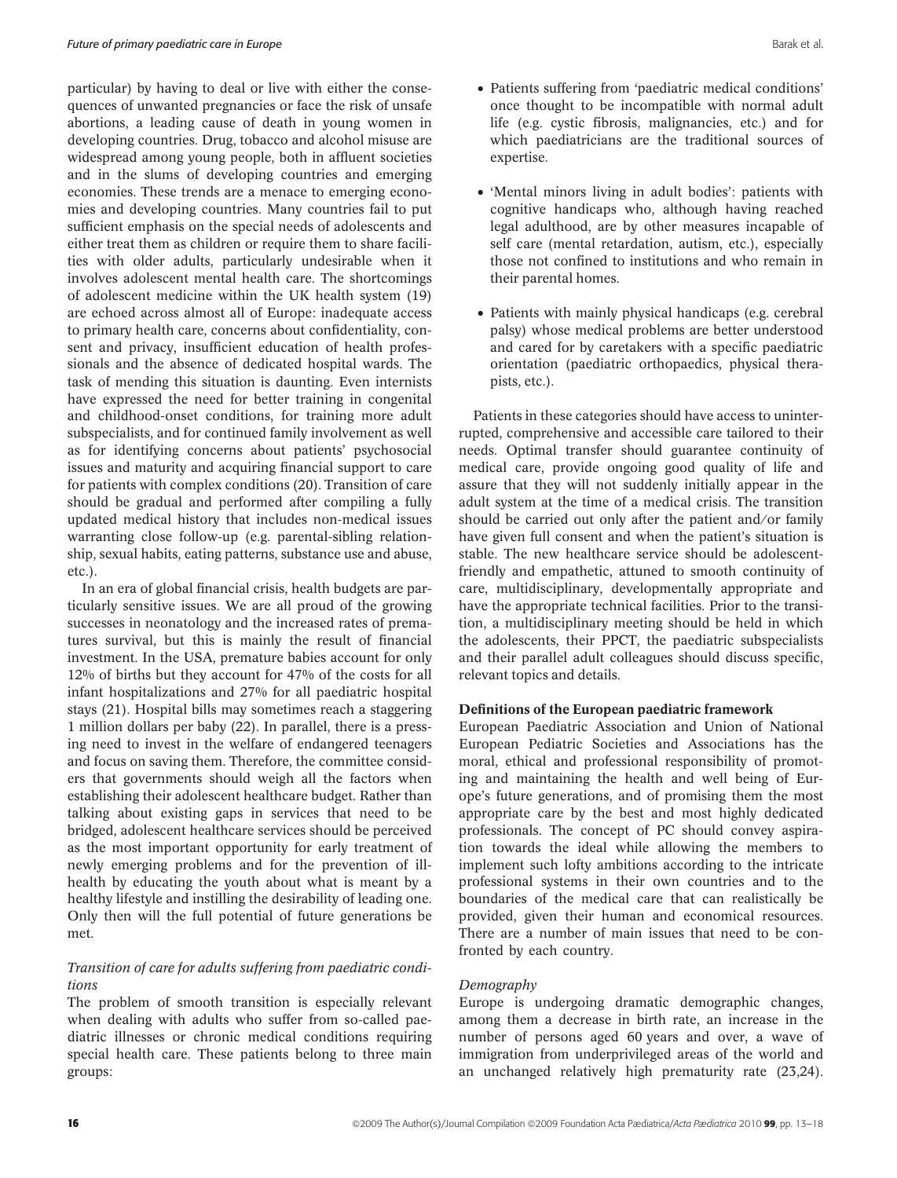particular) by having to deal or live with either the consequences of unwanted pregnancies or face the risk of unsafe abortions, a leading cause of death in young women in developing countries. Drug, tobacco and alcohol misuse are widespread among young people, both in affluent societies and in the slums of developing countries and emerging economies. These trends are a menace to emerging economies and developing countries. Many countries fail to put sufficient emphasis on the special needs of adolescents and either treat them as children or require them to share facilities with older adults, particularly undesirable when it involves adolescent mental health care. The shortcomings of adolescent medicine within the UK health system (19) are echoed across almost all of Europe: inadequate access to primary health care, concerns about confidentiality, consent and privacy, insufficient education of health professionals and the absence of dedicated hospital wards. The task of mending this situation is daunting. Even internists have expressed the need for better training in congenital and childhood-onset conditions, for training more adult subspecialists, and for continued family involvement as well as for identifying concerns about patients' psychosocial issues and maturity and acquiring financial support to care for patients with complex conditions (20). Transition of care should be gradual and performed after compiling a fully updated medical history that includes non-medical issues warranting close follow-up (e.g. parental-sibling relationship, sexual habits, eating patterns, substance use and abuse, etc.).

In an era of global financial crisis, health budgets are particularly sensitive issues. We are all proud of the growing successes in neonatology and the increased rates of prematures survival, but this is mainly the result of financial investment. In the USA, premature babies account for only 12% of births but they account for 47% of the costs for all infant hospitalizations and 27% for all paediatric hospital stays (21). Hospital bills may sometimes reach a staggering 1 million dollars per baby (22). In parallel, there is a pressing need to invest in the welfare of endangered teenagers and focus on saving them. Therefore, the committee considers that governments should weigh all the factors when establishing their adolescent healthcare budget. Rather than talking about existing gaps in services that need to be bridged, adolescent healthcare services should be perceived as the most important opportunity for early treatment of newly emerging problems and for the prevention of illhealth by educating the youth about what is meant by a healthy lifestyle and instilling the desirability of leading one. Only then will the full potential of future generations be met.

# Transition of care for adults suffering from paediatric conditions

The problem of smooth transition is especially relevant when dealing with adults who suffer from so-called paediatric illnesses or chronic medical conditions requiring special health care. These patients belong to three main groups:

- Patients suffering from 'paediatric medical conditions' once thought to be incompatible with normal adult life (e.g. cystic fibrosis, malignancies, etc.) and for which paediatricians are the traditional sources of expertise.
- 'Mental minors living in adult bodies': patients with cognitive handicaps who, although having reached legal adulthood, are by other measures incapable of self care (mental retardation, autism, etc.), especially those not confined to institutions and who remain in their parental homes.
- Patients with mainly physical handicaps (e.g. cerebral palsy) whose medical problems are better understood and cared for by caretakers with a specific paediatric orientation (paediatric orthopaedics, physical therapists, etc.).

Patients in these categories should have access to uninterrupted, comprehensive and accessible care tailored to their needs. Optimal transfer should guarantee continuity of medical care, provide ongoing good quality of life and assure that they will not suddenly initially appear in the adult system at the time of a medical crisis. The transition should be carried out only after the patient and/or family have given full consent and when the patient's situation is stable. The new healthcare service should be adolescentfriendly and empathetic, attuned to smooth continuity of care, multidisciplinary, developmentally appropriate and have the appropriate technical facilities. Prior to the transition, a multidisciplinary meeting should be held in which the adolescents, their PPCT, the paediatric subspecialists and their parallel adult colleagues should discuss specific, relevant topics and details.

#### Definitions of the European paediatric framework

European Paediatric Association and Union of National European Pediatric Societies and Associations has the moral, ethical and professional responsibility of promoting and maintaining the health and well being of Europe's future generations, and of promising them the most appropriate care by the best and most highly dedicated professionals. The concept of PC should convey aspiration towards the ideal while allowing the members to implement such lofty ambitions according to the intricate professional systems in their own countries and to the boundaries of the medical care that can realistically be provided, given their human and economical resources. There are a number of main issues that need to be confronted by each country.

#### Demography

Europe is undergoing dramatic demographic changes, among them a decrease in birth rate, an increase in the number of persons aged 60 years and over, a wave of immigration from underprivileged areas of the world and an unchanged relatively high prematurity rate (23,24).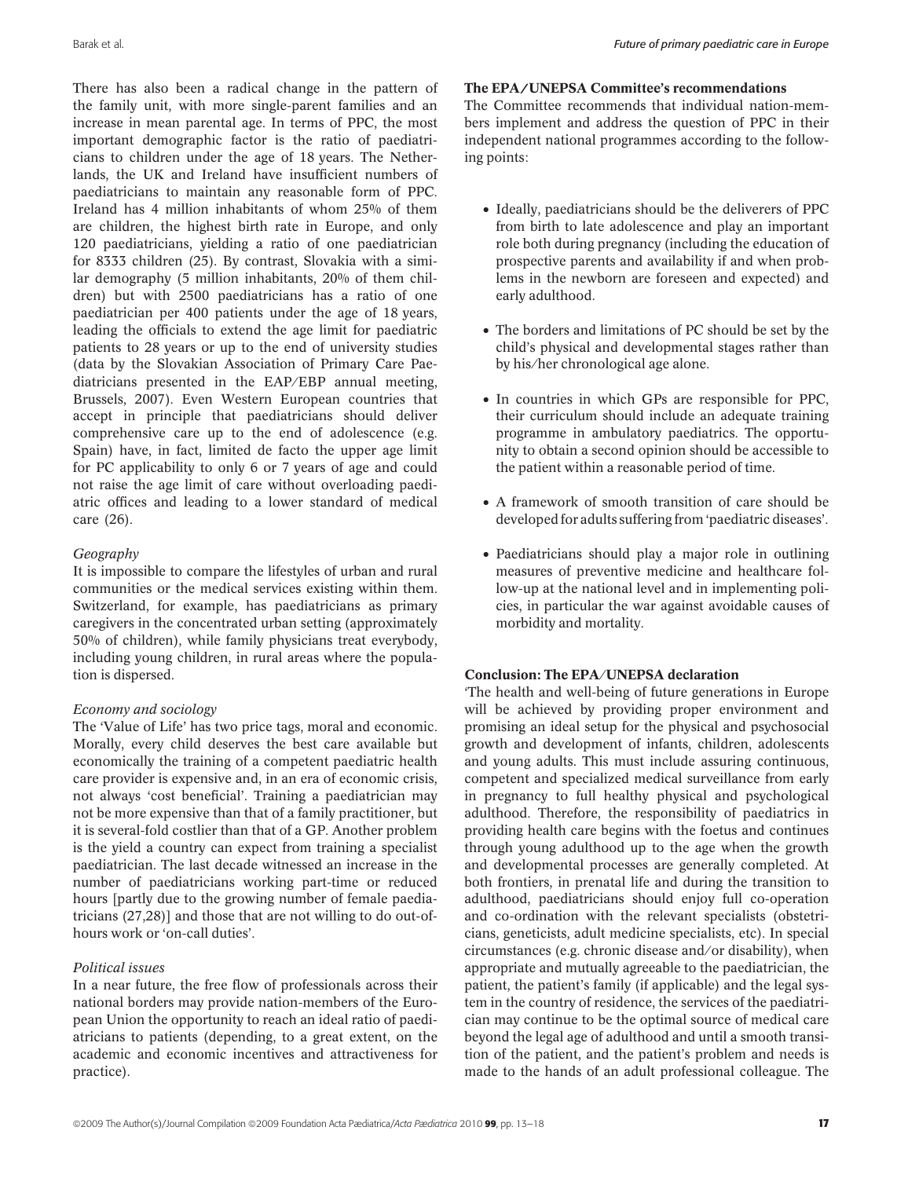There has also been a radical change in the pattern of the family unit, with more single-parent families and an increase in mean parental age. In terms of PPC, the most important demographic factor is the ratio of paediatricians to children under the age of 18 years. The Netherlands, the UK and Ireland have insufficient numbers of paediatricians to maintain any reasonable form of PPC. Ireland has 4 million inhabitants of whom 25% of them are children, the highest birth rate in Europe, and only 120 paediatricians, yielding a ratio of one paediatrician for 8333 children (25). By contrast, Slovakia with a similar demography (5 million inhabitants, 20% of them children) but with 2500 paediatricians has a ratio of one paediatrician per 400 patients under the age of 18 years, leading the officials to extend the age limit for paediatric patients to 28 years or up to the end of university studies (data by the Slovakian Association of Primary Care Paediatricians presented in the EAP/EBP annual meeting, Brussels, 2007). Even Western European countries that accept in principle that paediatricians should deliver comprehensive care up to the end of adolescence (e.g. Spain) have, in fact, limited de facto the upper age limit for PC applicability to only 6 or 7 years of age and could not raise the age limit of care without overloading paediatric offices and leading to a lower standard of medical care (26).

# Geography

It is impossible to compare the lifestyles of urban and rural communities or the medical services existing within them. Switzerland, for example, has paediatricians as primary caregivers in the concentrated urban setting (approximately 50% of children), while family physicians treat everybody, including young children, in rural areas where the population is dispersed.

# Economy and sociology

The 'Value of Life' has two price tags, moral and economic. Morally, every child deserves the best care available but economically the training of a competent paediatric health care provider is expensive and, in an era of economic crisis, not always 'cost beneficial'. Training a paediatrician may not be more expensive than that of a family practitioner, but it is several-fold costlier than that of a GP. Another problem is the yield a country can expect from training a specialist paediatrician. The last decade witnessed an increase in the number of paediatricians working part-time or reduced hours [partly due to the growing number of female paediatricians (27,28)] and those that are not willing to do out-ofhours work or 'on-call duties'.

# Political issues

In a near future, the free flow of professionals across their national borders may provide nation-members of the European Union the opportunity to reach an ideal ratio of paediatricians to patients (depending, to a great extent, on the academic and economic incentives and attractiveness for practice).

# The EPA/UNEPSA Committee's recommendations

The Committee recommends that individual nation-members implement and address the question of PPC in their independent national programmes according to the following points:

- Ideally, paediatricians should be the deliverers of PPC from birth to late adolescence and play an important role both during pregnancy (including the education of prospective parents and availability if and when problems in the newborn are foreseen and expected) and early adulthood.
- The borders and limitations of PC should be set by the child's physical and developmental stages rather than by his ⁄ her chronological age alone.
- In countries in which GPs are responsible for PPC, their curriculum should include an adequate training programme in ambulatory paediatrics. The opportunity to obtain a second opinion should be accessible to the patient within a reasonable period of time.
- A framework of smooth transition of care should be developed for adults suffering from 'paediatric diseases'.
- Paediatricians should play a major role in outlining measures of preventive medicine and healthcare follow-up at the national level and in implementing policies, in particular the war against avoidable causes of morbidity and mortality.

# Conclusion: The EPA/UNEPSA declaration

'The health and well-being of future generations in Europe will be achieved by providing proper environment and promising an ideal setup for the physical and psychosocial growth and development of infants, children, adolescents and young adults. This must include assuring continuous, competent and specialized medical surveillance from early in pregnancy to full healthy physical and psychological adulthood. Therefore, the responsibility of paediatrics in providing health care begins with the foetus and continues through young adulthood up to the age when the growth and developmental processes are generally completed. At both frontiers, in prenatal life and during the transition to adulthood, paediatricians should enjoy full co-operation and co-ordination with the relevant specialists (obstetricians, geneticists, adult medicine specialists, etc). In special circumstances (e.g. chronic disease and ⁄ or disability), when appropriate and mutually agreeable to the paediatrician, the patient, the patient's family (if applicable) and the legal system in the country of residence, the services of the paediatrician may continue to be the optimal source of medical care beyond the legal age of adulthood and until a smooth transition of the patient, and the patient's problem and needs is made to the hands of an adult professional colleague. The